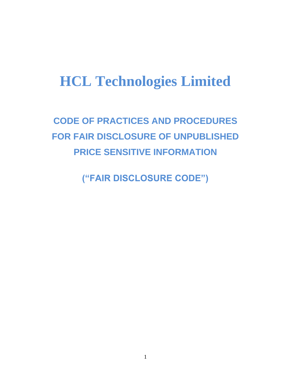# **HCL Technologies Limited**

**CODE OF PRACTICES AND PROCEDURES FOR FAIR DISCLOSURE OF UNPUBLISHED PRICE SENSITIVE INFORMATION**

**("FAIR DISCLOSURE CODE")**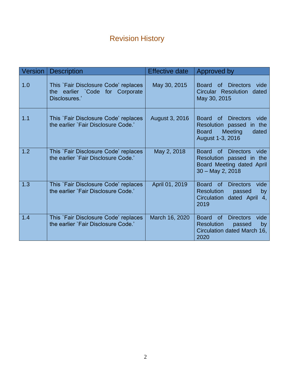## Revision History

| Version | <b>Description</b>                                                                       | <b>Effective date</b> | Approved by                                                                                                                             |
|---------|------------------------------------------------------------------------------------------|-----------------------|-----------------------------------------------------------------------------------------------------------------------------------------|
| 1.0     | This `Fair Disclosure Code' replaces<br>the earlier `Code for Corporate<br>Disclosures.' | May 30, 2015          | of Directors<br><b>Board</b><br>vide<br>Circular Resolution dated<br>May 30, 2015                                                       |
| 1.1     | This `Fair Disclosure Code' replaces<br>the earlier `Fair Disclosure Code.'              | August 3, 2016        | <b>Board</b><br>vide<br>of Directors<br>Resolution passed<br>in the<br><b>Meeting</b><br><b>Board</b><br>dated<br>August 1-3, 2016      |
| 1.2     | This `Fair Disclosure Code' replaces<br>the earlier `Fair Disclosure Code.'              | May 2, 2018           | Board of Directors<br>vide<br>Resolution passed in the<br>Board Meeting dated April<br>$30 - May 2, 2018$                               |
| 1.3     | This `Fair Disclosure Code' replaces<br>the earlier `Fair Disclosure Code.'              | April 01, 2019        | vide<br><b>Board</b><br><b>Directors</b><br><sub>of</sub><br><b>Resolution</b><br>passed<br>by<br>dated April 4,<br>Circulation<br>2019 |
| 1.4     | This `Fair Disclosure Code' replaces<br>the earlier `Fair Disclosure Code.'              | March 16, 2020        | vide<br><b>Board</b><br><b>of</b><br><b>Directors</b><br><b>Resolution</b><br>passed<br>by<br>Circulation dated March 16,<br>2020       |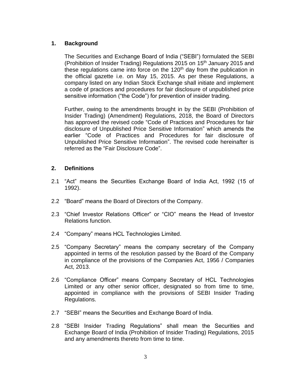### **1. Background**

The Securities and Exchange Board of India ("SEBI") formulated the SEBI (Prohibition of Insider Trading) Regulations 2015 on 15<sup>th</sup> January 2015 and these regulations came into force on the  $120<sup>th</sup>$  day from the publication in the official gazette i.e. on May 15, 2015. As per these Regulations, a company listed on any Indian Stock Exchange shall initiate and implement a code of practices and procedures for fair disclosure of unpublished price sensitive information ("the Code") for prevention of insider trading.

Further, owing to the amendments brought in by the SEBI (Prohibition of Insider Trading) (Amendment) Regulations, 2018, the Board of Directors has approved the revised code "Code of Practices and Procedures for fair disclosure of Unpublished Price Sensitive Information" which amends the earlier "Code of Practices and Procedures for fair disclosure of Unpublished Price Sensitive Information". The revised code hereinafter is referred as the "Fair Disclosure Code".

### **2. Definitions**

- 2.1 "Act" means the Securities Exchange Board of India Act, 1992 (15 of 1992).
- 2.2 "Board" means the Board of Directors of the Company.
- 2.3 "Chief Investor Relations Officer" or "CIO" means the Head of Investor Relations function.
- 2.4 "Company" means HCL Technologies Limited.
- 2.5 "Company Secretary" means the company secretary of the Company appointed in terms of the resolution passed by the Board of the Company in compliance of the provisions of the Companies Act, 1956 / Companies Act, 2013.
- 2.6 "Compliance Officer" means Company Secretary of HCL Technologies Limited or any other senior officer, designated so from time to time, appointed in compliance with the provisions of SEBI Insider Trading Regulations.
- 2.7 "SEBI" means the Securities and Exchange Board of India.
- 2.8 "SEBI Insider Trading Regulations" shall mean the Securities and Exchange Board of India (Prohibition of Insider Trading) Regulations, 2015 and any amendments thereto from time to time.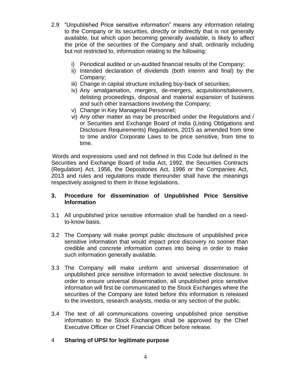- 2.9 "Unpublished Price sensitive information" means any information relating to the Company or its securities, directly or indirectly that is not generally available, but which upon becoming generally available, is likely to affect the price of the securities of the Company and shall, ordinarily including but not restricted to, information relating to the following:
	- i) Periodical audited or un-audited financial results of the Company;
	- ii) Intended declaration of dividends (both interim and final) by the Company;
	- iii) Change in capital structure including buy-back of securities;
	- iv) Any amalgamation, mergers, de-mergers, acquisitions/takeovers, delisting proceedings, disposal and material expansion of business and such other transactions involving the Company;
	- v) Change in Key Managerial Personnel;
	- vi) Any other matter as may be prescribed under the Regulations and / or Securities and Exchange Board of India (Listing Obligations and Disclosure Requirements) Regulations, 2015 as amended from time to time and/or Corporate Laws to be price sensitive, from time to time.

 Words and expressions used and not defined in this Code but defined in the Securities and Exchange Board of India Act, 1992, the Securities Contracts (Regulation) Act, 1956, the Depositories Act, 1996 or the Companies Act, 2013 and rules and regulations made thereunder shall have the meanings respectively assigned to them in those legislations.

#### **3. Procedure for dissemination of Unpublished Price Sensitive Information**

- 3.1 All unpublished price sensitive information shall be handled on a needto-know basis.
- 3.2 The Company will make prompt public disclosure of unpublished price sensitive information that would impact price discovery no sooner than credible and concrete information comes into being in order to make such information generally available.
- 3.3 The Company will make uniform and universal dissemination of unpublished price sensitive information to avoid selective disclosure. In order to ensure universal dissemination, all unpublished price sensitive information will first be communicated to the Stock Exchanges where the securities of the Company are listed before this information is released to the investors, research analysts, media or any section of the public.
- 3.4 The text of all communications covering unpublished price sensitive information to the Stock Exchanges shall be approved by the Chief Executive Officer or Chief Financial Officer before release.

#### 4 **Sharing of UPSI for legitimate purpose**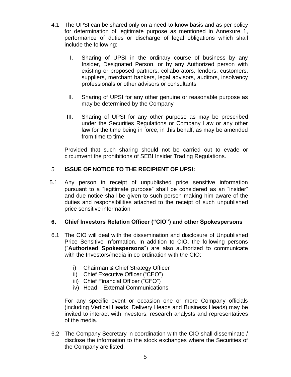- 4.1 The UPSI can be shared only on a need-to-know basis and as per policy for determination of legitimate purpose as mentioned in Annexure 1, performance of duties or discharge of legal obligations which shall include the following:
	- I. Sharing of UPSI in the ordinary course of business by any Insider, Designated Person, or by any Authorized person with existing or proposed partners, collaborators, lenders, customers, suppliers, merchant bankers, legal advisors, auditors, insolvency professionals or other advisors or consultants
	- II. Sharing of UPSI for any other genuine or reasonable purpose as may be determined by the Company
	- III. Sharing of UPSI for any other purpose as may be prescribed under the Securities Regulations or Company Law or any other law for the time being in force, in this behalf, as may be amended from time to time

Provided that such sharing should not be carried out to evade or circumvent the prohibitions of SEBI Insider Trading Regulations.

#### 5 **ISSUE OF NOTICE TO THE RECIPIENT OF UPSI:**

5.1 Any person in receipt of unpublished price sensitive information pursuant to a "legitimate purpose" shall be considered as an "insider" and due notice shall be given to such person making him aware of the duties and responsibilities attached to the receipt of such unpublished price sensitive information

#### **6. Chief Investors Relation Officer ("CIO") and other Spokespersons**

- 6.1 The CIO will deal with the dissemination and disclosure of Unpublished Price Sensitive Information. In addition to CIO, the following persons ("**Authorised Spokespersons**") are also authorized to communicate with the Investors/media in co-ordination with the CIO:
	- i) Chairman & Chief Strategy Officer
	- ii) Chief Executive Officer ("CEO")
	- iii) Chief Financial Officer ("CFO")
	- iv) Head External Communications

For any specific event or occasion one or more Company officials (including Vertical Heads, Delivery Heads and Business Heads) may be invited to interact with investors, research analysts and representatives of the media.

6.2 The Company Secretary in coordination with the CIO shall disseminate / disclose the information to the stock exchanges where the Securities of the Company are listed.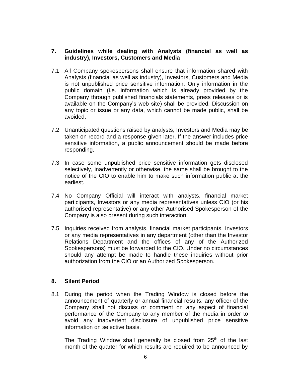#### **7. Guidelines while dealing with Analysts (financial as well as industry), Investors, Customers and Media**

- 7.1 All Company spokespersons shall ensure that information shared with Analysts (financial as well as industry), Investors, Customers and Media is not unpublished price sensitive information. Only information in the public domain (i.e. information which is already provided by the Company through published financials statements, press releases or is available on the Company's web site) shall be provided. Discussion on any topic or issue or any data, which cannot be made public, shall be avoided.
- 7.2 Unanticipated questions raised by analysts, Investors and Media may be taken on record and a response given later. If the answer includes price sensitive information, a public announcement should be made before responding.
- 7.3 In case some unpublished price sensitive information gets disclosed selectively, inadvertently or otherwise, the same shall be brought to the notice of the CIO to enable him to make such information public at the earliest.
- 7.4 No Company Official will interact with analysts, financial market participants, Investors or any media representatives unless CIO (or his authorised representative) or any other Authorised Spokesperson of the Company is also present during such interaction.
- 7.5 Inquiries received from analysts, financial market participants, Investors or any media representatives in any department (other than the Investor Relations Department and the offices of any of the Authorized Spokespersons) must be forwarded to the CIO. Under no circumstances should any attempt be made to handle these inquiries without prior authorization from the CIO or an Authorized Spokesperson.

#### **8. Silent Period**

8.1 During the period when the Trading Window is closed before the announcement of quarterly or annual financial results, any officer of the Company shall not discuss or comment on any aspect of financial performance of the Company to any member of the media in order to avoid any inadvertent disclosure of unpublished price sensitive information on selective basis.

The Trading Window shall generally be closed from  $25<sup>th</sup>$  of the last month of the quarter for which results are required to be announced by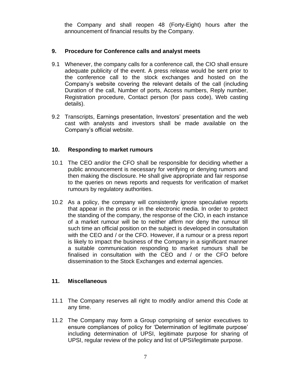the Company and shall reopen 48 (Forty-Eight) hours after the announcement of financial results by the Company.

### **9. Procedure for Conference calls and analyst meets**

- 9.1 Whenever, the company calls for a conference call, the CIO shall ensure adequate publicity of the event. A press release would be sent prior to the conference call to the stock exchanges and hosted on the Company's website covering the relevant details of the call (including Duration of the call, Number of ports, Access numbers, Reply number, Registration procedure, Contact person (for pass code), Web casting details).
- 9.2 Transcripts, Earnings presentation, Investors' presentation and the web cast with analysts and investors shall be made available on the Company's official website.

### **10. Responding to market rumours**

- 10.1 The CEO and/or the CFO shall be responsible for deciding whether a public announcement is necessary for verifying or denying rumors and then making the disclosure. He shall give appropriate and fair response to the queries on news reports and requests for verification of market rumours by regulatory authorities.
- 10.2 As a policy, the company will consistently ignore speculative reports that appear in the press or in the electronic media. In order to protect the standing of the company, the response of the CIO, in each instance of a market rumour will be to neither affirm nor deny the rumour till such time an official position on the subject is developed in consultation with the CEO and / or the CFO. However, if a rumour or a press report is likely to impact the business of the Company in a significant manner a suitable communication responding to market rumours shall be finalised in consultation with the CEO and / or the CFO before dissemination to the Stock Exchanges and external agencies.

#### **11. Miscellaneous**

- 11.1 The Company reserves all right to modify and/or amend this Code at any time.
- 11.2 The Company may form a Group comprising of senior executives to ensure compliances of policy for 'Determination of legitimate purpose' including determination of UPSI, legitimate purpose for sharing of UPSI, regular review of the policy and list of UPSI/legitimate purpose.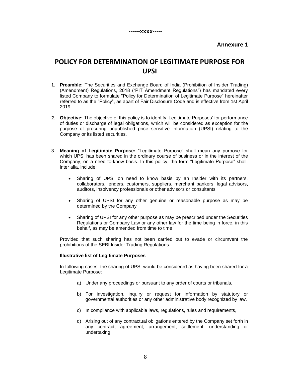#### **Annexure 1**

## **POLICY FOR DETERMINATION OF LEGITIMATE PURPOSE FOR UPSI**

- 1. **Preamble:** The Securities and Exchange Board of India (Prohibition of Insider Trading) (Amendment) Regulations, 2018 ("PIT Amendment Regulations") has mandated every listed Company to formulate "Policy for Determination of Legitimate Purpose" hereinafter referred to as the "Policy", as apart of Fair Disclosure Code and is effective from 1st April 2019.
- **2. Objective:** The objective of this policy is to identify 'Legitimate Purposes' for performance of duties or discharge of legal obligations, which will be considered as exception for the purpose of procuring unpublished price sensitive information (UPSI) relating to the Company or its listed securities.
- 3. **Meaning of Legitimate Purpose:** "Legitimate Purpose" shall mean any purpose for which UPSI has been shared in the ordinary course of business or in the interest of the Company, on a need to-know basis. In this policy, the term "Legitimate Purpose" shall, inter alia, include:
	- Sharing of UPSI on need to know basis by an Insider with its partners, collaborators, lenders, customers, suppliers, merchant bankers, legal advisors, auditors, insolvency professionals or other advisors or consultants
	- Sharing of UPSI for any other genuine or reasonable purpose as may be determined by the Company
	- Sharing of UPSI for any other purpose as may be prescribed under the Securities Regulations or Company Law or any other law for the time being in force, in this behalf, as may be amended from time to time

Provided that such sharing has not been carried out to evade or circumvent the prohibitions of the SEBI Insider Trading Regulations.

#### **Illustrative list of Legitimate Purposes**

In following cases, the sharing of UPSI would be considered as having been shared for a Legitimate Purpose:

- a) Under any proceedings or pursuant to any order of courts or tribunals,
- b) For investigation, inquiry or request for information by statutory or governmental authorities or any other administrative body recognized by law,
- c) In compliance with applicable laws, regulations, rules and requirements,
- d) Arising out of any contractual obligations entered by the Company set forth in any contract, agreement, arrangement, settlement, understanding or undertaking,